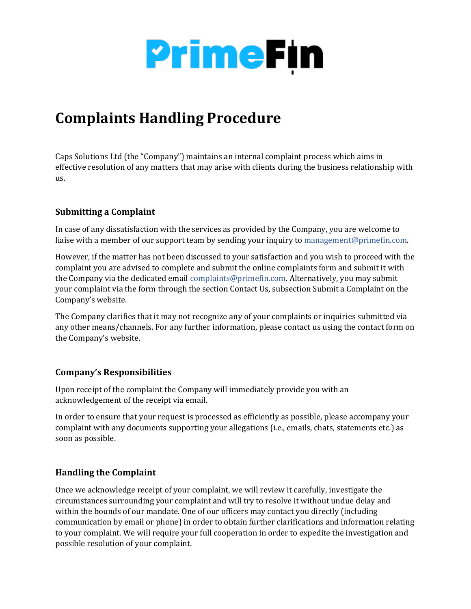

## **Complaints Handling Procedure**

Caps Solutions Ltd (the "Company") maintains an internal complaint process which aims in effective resolution of any matters that may arise with clients during the business relationship with us.

## **Submitting a Complaint**

In case of any dissatisfaction with the services as provided by the Company, you are welcome to liaise with a member of our support team by sending your inquiry to management@primefin.com.

However, if the matter has not been discussed to your satisfaction and you wish to proceed with the complaint you are advised to complete and submit the online complaints form and submit it with the Company via the dedicated email complaints@primefin.com. Alternatively, you may submit your complaint via the form through the section Contact Us, subsection Submit a Complaint on the Company's website.

The Company clarifies that it may not recognize any of your complaints or inquiries submitted via any other means/channels. For any further information, please contact us using the contact form on the Company's website.

## **Company's Responsibilities**

Upon receipt of the complaint the Company will immediately provide you with an acknowledgement of the receipt via email.

In order to ensure that your request is processed as efficiently as possible, please accompany your complaint with any documents supporting your allegations (i.e., emails, chats, statements etc.) as soon as possible.

## **Handling the Complaint**

Once we acknowledge receipt of your complaint, we will review it carefully, investigate the circumstances surrounding your complaint and will try to resolve it without undue delay and within the bounds of our mandate. One of our officers may contact you directly (including communication by email or phone) in order to obtain further clarifications and information relating to your complaint. We will require your full cooperation in order to expedite the investigation and possible resolution of your complaint.